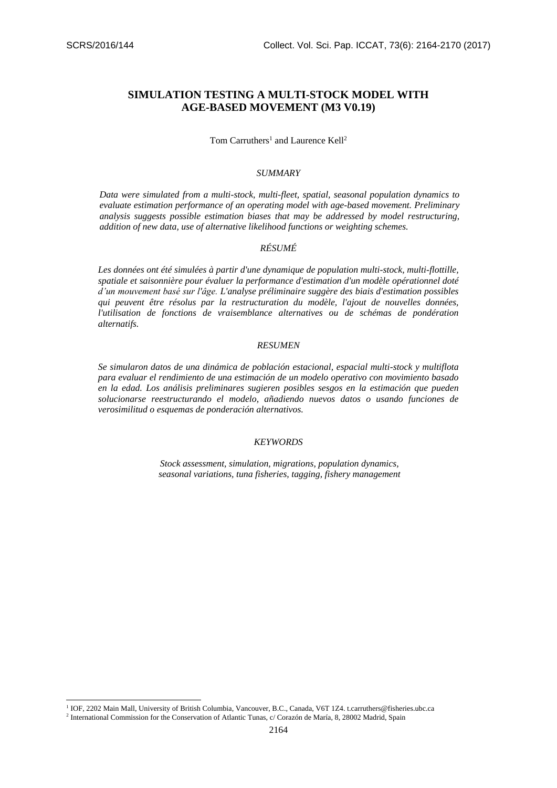$\overline{a}$ 

# **SIMULATION TESTING A MULTI-STOCK MODEL WITH AGE-BASED MOVEMENT (M3 V0.19)**

### Tom Carruthers<sup>1</sup> and Laurence Kell<sup>2</sup>

### *SUMMARY*

*Data were simulated from a multi-stock, multi-fleet, spatial, seasonal population dynamics to evaluate estimation performance of an operating model with age-based movement. Preliminary analysis suggests possible estimation biases that may be addressed by model restructuring, addition of new data, use of alternative likelihood functions or weighting schemes.* 

# *RÉSUMÉ*

*Les données ont été simulées à partir d'une dynamique de population multi-stock, multi-flottille, spatiale et saisonnière pour évaluer la performance d'estimation d'un modèle opérationnel doté d'un mouvement basé sur l'âge. L'analyse préliminaire suggère des biais d'estimation possibles qui peuvent être résolus par la restructuration du modèle, l'ajout de nouvelles données, l'utilisation de fonctions de vraisemblance alternatives ou de schémas de pondération alternatifs.* 

### *RESUMEN*

*Se simularon datos de una dinámica de población estacional, espacial multi-stock y multiflota para evaluar el rendimiento de una estimación de un modelo operativo con movimiento basado en la edad. Los análisis preliminares sugieren posibles sesgos en la estimación que pueden solucionarse reestructurando el modelo, añadiendo nuevos datos o usando funciones de verosimilitud o esquemas de ponderación alternativos.*

#### *KEYWORDS*

*Stock assessment, simulation, migrations, population dynamics, seasonal variations, tuna fisheries, tagging, fishery management*

<sup>&</sup>lt;sup>1</sup> IOF, 2202 Main Mall, University of British Columbia, Vancouver, B.C., Canada, V6T 1Z4. t.carruthers@fisheries.ubc.ca

<sup>&</sup>lt;sup>2</sup> International Commission for the Conservation of Atlantic Tunas, c/ Corazón de María, 8, 28002 Madrid, Spain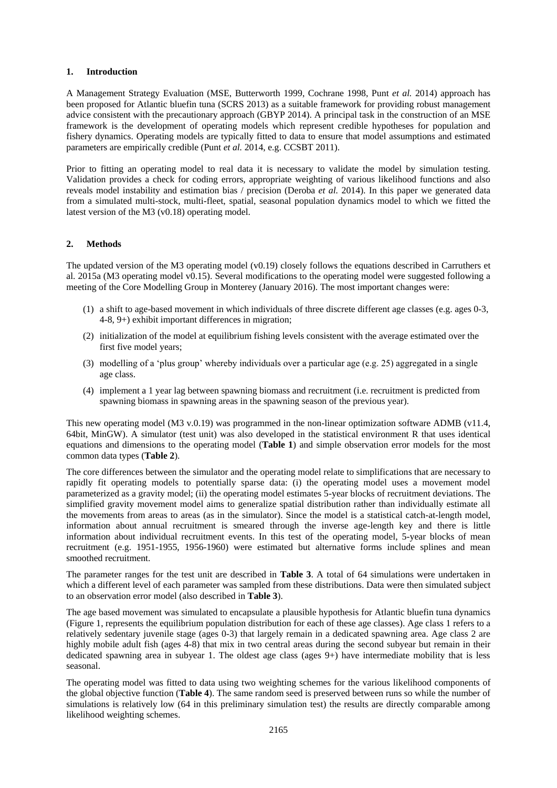### **1. Introduction**

A Management Strategy Evaluation (MSE, Butterworth 1999, Cochrane 1998, Punt *et al.* 2014) approach has been proposed for Atlantic bluefin tuna (SCRS 2013) as a suitable framework for providing robust management advice consistent with the precautionary approach (GBYP 2014). A principal task in the construction of an MSE framework is the development of operating models which represent credible hypotheses for population and fishery dynamics. Operating models are typically fitted to data to ensure that model assumptions and estimated parameters are empirically credible (Punt *et al.* 2014, e.g. CCSBT 2011).

Prior to fitting an operating model to real data it is necessary to validate the model by simulation testing. Validation provides a check for coding errors, appropriate weighting of various likelihood functions and also reveals model instability and estimation bias / precision (Deroba *et al.* 2014). In this paper we generated data from a simulated multi-stock, multi-fleet, spatial, seasonal population dynamics model to which we fitted the latest version of the M3 (v0.18) operating model.

### **2. Methods**

The updated version of the M3 operating model (v0.19) closely follows the equations described in Carruthers et al. 2015a (M3 operating model v0.15). Several modifications to the operating model were suggested following a meeting of the Core Modelling Group in Monterey (January 2016). The most important changes were:

- (1) a shift to age-based movement in which individuals of three discrete different age classes (e.g. ages 0-3, 4-8, 9+) exhibit important differences in migration;
- (2) initialization of the model at equilibrium fishing levels consistent with the average estimated over the first five model years;
- (3) modelling of a 'plus group' whereby individuals over a particular age (e.g. 25) aggregated in a single age class.
- (4) implement a 1 year lag between spawning biomass and recruitment (i.e. recruitment is predicted from spawning biomass in spawning areas in the spawning season of the previous year).

This new operating model (M3 v.0.19) was programmed in the non-linear optimization software ADMB (v11.4, 64bit, MinGW). A simulator (test unit) was also developed in the statistical environment R that uses identical equations and dimensions to the operating model (**Table 1**) and simple observation error models for the most common data types (**Table 2**).

The core differences between the simulator and the operating model relate to simplifications that are necessary to rapidly fit operating models to potentially sparse data: (i) the operating model uses a movement model parameterized as a gravity model; (ii) the operating model estimates 5-year blocks of recruitment deviations. The simplified gravity movement model aims to generalize spatial distribution rather than individually estimate all the movements from areas to areas (as in the simulator). Since the model is a statistical catch-at-length model, information about annual recruitment is smeared through the inverse age-length key and there is little information about individual recruitment events. In this test of the operating model, 5-year blocks of mean recruitment (e.g. 1951-1955, 1956-1960) were estimated but alternative forms include splines and mean smoothed recruitment.

The parameter ranges for the test unit are described in **Table 3**. A total of 64 simulations were undertaken in which a different level of each parameter was sampled from these distributions. Data were then simulated subject to an observation error model (also described in **Table 3**).

The age based movement was simulated to encapsulate a plausible hypothesis for Atlantic bluefin tuna dynamics (Figure 1, represents the equilibrium population distribution for each of these age classes). Age class 1 refers to a relatively sedentary juvenile stage (ages 0-3) that largely remain in a dedicated spawning area. Age class 2 are highly mobile adult fish (ages 4-8) that mix in two central areas during the second subyear but remain in their dedicated spawning area in subyear 1. The oldest age class (ages 9+) have intermediate mobility that is less seasonal.

The operating model was fitted to data using two weighting schemes for the various likelihood components of the global objective function (**Table 4**). The same random seed is preserved between runs so while the number of simulations is relatively low (64 in this preliminary simulation test) the results are directly comparable among likelihood weighting schemes.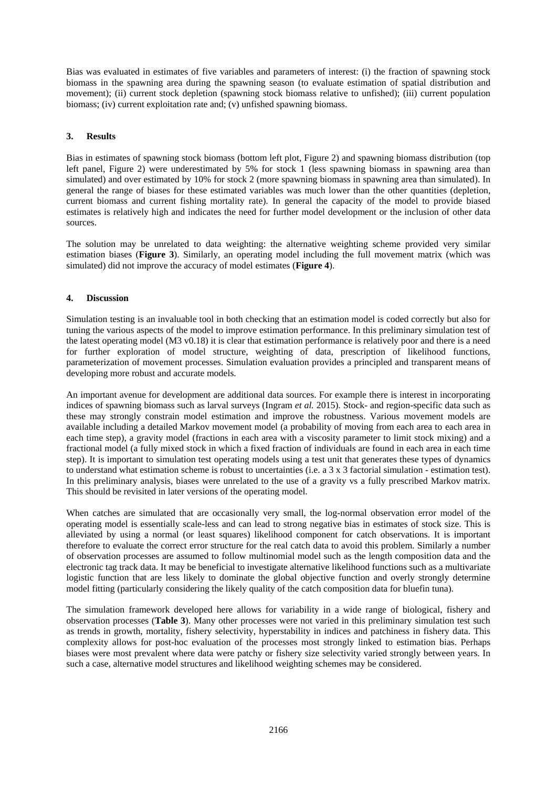Bias was evaluated in estimates of five variables and parameters of interest: (i) the fraction of spawning stock biomass in the spawning area during the spawning season (to evaluate estimation of spatial distribution and movement); (ii) current stock depletion (spawning stock biomass relative to unfished); (iii) current population biomass; (iv) current exploitation rate and; (v) unfished spawning biomass.

### **3. Results**

Bias in estimates of spawning stock biomass (bottom left plot, Figure 2) and spawning biomass distribution (top left panel, Figure 2) were underestimated by 5% for stock 1 (less spawning biomass in spawning area than simulated) and over estimated by 10% for stock 2 (more spawning biomass in spawning area than simulated). In general the range of biases for these estimated variables was much lower than the other quantities (depletion, current biomass and current fishing mortality rate). In general the capacity of the model to provide biased estimates is relatively high and indicates the need for further model development or the inclusion of other data sources.

The solution may be unrelated to data weighting: the alternative weighting scheme provided very similar estimation biases (**Figure 3**). Similarly, an operating model including the full movement matrix (which was simulated) did not improve the accuracy of model estimates (**Figure 4**).

## **4. Discussion**

Simulation testing is an invaluable tool in both checking that an estimation model is coded correctly but also for tuning the various aspects of the model to improve estimation performance. In this preliminary simulation test of the latest operating model (M3 v0.18) it is clear that estimation performance is relatively poor and there is a need for further exploration of model structure, weighting of data, prescription of likelihood functions, parameterization of movement processes. Simulation evaluation provides a principled and transparent means of developing more robust and accurate models.

An important avenue for development are additional data sources. For example there is interest in incorporating indices of spawning biomass such as larval surveys (Ingram *et al.* 2015). Stock- and region-specific data such as these may strongly constrain model estimation and improve the robustness. Various movement models are available including a detailed Markov movement model (a probability of moving from each area to each area in each time step), a gravity model (fractions in each area with a viscosity parameter to limit stock mixing) and a fractional model (a fully mixed stock in which a fixed fraction of individuals are found in each area in each time step). It is important to simulation test operating models using a test unit that generates these types of dynamics to understand what estimation scheme is robust to uncertainties (i.e. a 3 x 3 factorial simulation - estimation test). In this preliminary analysis, biases were unrelated to the use of a gravity vs a fully prescribed Markov matrix. This should be revisited in later versions of the operating model.

When catches are simulated that are occasionally very small, the log-normal observation error model of the operating model is essentially scale-less and can lead to strong negative bias in estimates of stock size. This is alleviated by using a normal (or least squares) likelihood component for catch observations. It is important therefore to evaluate the correct error structure for the real catch data to avoid this problem. Similarly a number of observation processes are assumed to follow multinomial model such as the length composition data and the electronic tag track data. It may be beneficial to investigate alternative likelihood functions such as a multivariate logistic function that are less likely to dominate the global objective function and overly strongly determine model fitting (particularly considering the likely quality of the catch composition data for bluefin tuna).

The simulation framework developed here allows for variability in a wide range of biological, fishery and observation processes (**Table 3**). Many other processes were not varied in this preliminary simulation test such as trends in growth, mortality, fishery selectivity, hyperstability in indices and patchiness in fishery data. This complexity allows for post-hoc evaluation of the processes most strongly linked to estimation bias. Perhaps biases were most prevalent where data were patchy or fishery size selectivity varied strongly between years. In such a case, alternative model structures and likelihood weighting schemes may be considered.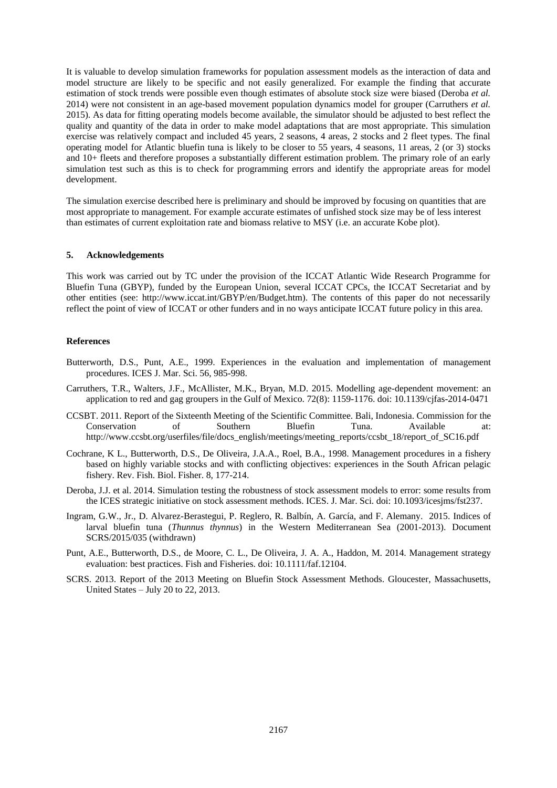It is valuable to develop simulation frameworks for population assessment models as the interaction of data and model structure are likely to be specific and not easily generalized. For example the finding that accurate estimation of stock trends were possible even though estimates of absolute stock size were biased (Deroba *et al.* 2014) were not consistent in an age-based movement population dynamics model for grouper (Carruthers *et al.* 2015). As data for fitting operating models become available, the simulator should be adjusted to best reflect the quality and quantity of the data in order to make model adaptations that are most appropriate. This simulation exercise was relatively compact and included 45 years, 2 seasons, 4 areas, 2 stocks and 2 fleet types. The final operating model for Atlantic bluefin tuna is likely to be closer to 55 years, 4 seasons, 11 areas, 2 (or 3) stocks and 10+ fleets and therefore proposes a substantially different estimation problem. The primary role of an early simulation test such as this is to check for programming errors and identify the appropriate areas for model development.

The simulation exercise described here is preliminary and should be improved by focusing on quantities that are most appropriate to management. For example accurate estimates of unfished stock size may be of less interest than estimates of current exploitation rate and biomass relative to MSY (i.e. an accurate Kobe plot).

#### **5. Acknowledgements**

This work was carried out by TC under the provision of the ICCAT Atlantic Wide Research Programme for Bluefin Tuna (GBYP), funded by the European Union, several ICCAT CPCs, the ICCAT Secretariat and by other entities (see: http://www.iccat.int/GBYP/en/Budget.htm). The contents of this paper do not necessarily reflect the point of view of ICCAT or other funders and in no ways anticipate ICCAT future policy in this area.

#### **References**

- Butterworth, D.S., Punt, A.E., 1999. Experiences in the evaluation and implementation of management procedures. ICES J. Mar. Sci. 56, 985-998.
- Carruthers, T.R., Walters, J.F., McAllister, M.K., Bryan, M.D. 2015. Modelling age-dependent movement: an application to red and gag groupers in the Gulf of Mexico. 72(8): 1159-1176. doi: 10.1139/cjfas-2014-0471
- CCSBT. 2011. Report of the Sixteenth Meeting of the Scientific Committee. Bali, Indonesia. Commission for the Conservation of Southern Bluefin Tuna. Available at: http://www.ccsbt.org/userfiles/file/docs\_english/meetings/meeting\_reports/ccsbt\_18/report\_of\_SC16.pdf
- Cochrane, K L., Butterworth, D.S., De Oliveira, J.A.A., Roel, B.A., 1998. Management procedures in a fishery based on highly variable stocks and with conflicting objectives: experiences in the South African pelagic fishery. Rev. Fish. Biol. Fisher. 8, 177-214.
- Deroba, J.J. et al. 2014. Simulation testing the robustness of stock assessment models to error: some results from the ICES strategic initiative on stock assessment methods. ICES. J. Mar. Sci. doi: 10.1093/icesjms/fst237.
- Ingram, G.W., Jr., D. Alvarez-Berastegui, P. Reglero, R. Balbín, A. García, and F. Alemany. 2015. Indices of larval bluefin tuna (*Thunnus thynnus*) in the Western Mediterranean Sea (2001-2013). Document SCRS/2015/035 (withdrawn)
- Punt, A.E., Butterworth, D.S., de Moore, C. L., De Oliveira, J. A. A., Haddon, M. 2014. Management strategy evaluation: best practices. Fish and Fisheries. doi: 10.1111/faf.12104.
- SCRS. 2013. Report of the 2013 Meeting on Bluefin Stock Assessment Methods. Gloucester, Massachusetts, United States – July 20 to 22, 2013.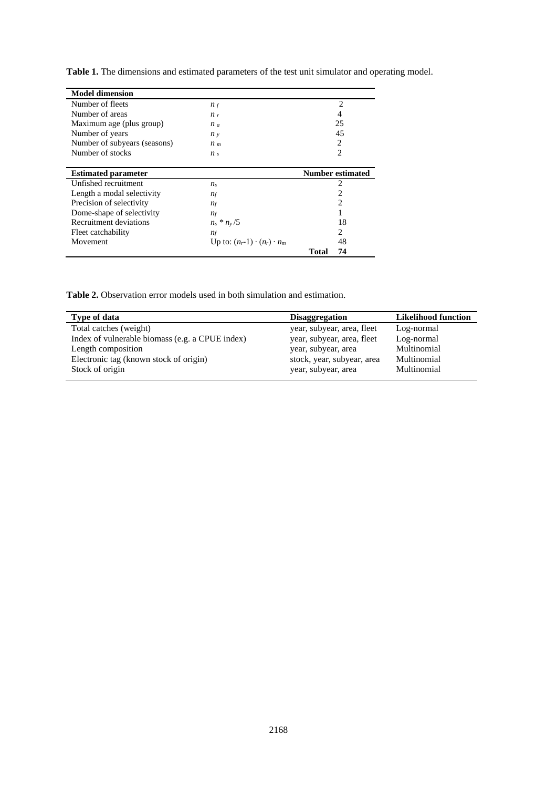**Table 1.** The dimensions and estimated parameters of the test unit simulator and operating model.

| <b>Model dimension</b>       |                                        |                         |
|------------------------------|----------------------------------------|-------------------------|
| Number of fleets             | $n_f$                                  | $\overline{c}$          |
| Number of areas              | $n_r$                                  | 4                       |
| Maximum age (plus group)     | $n_a$                                  | 25                      |
| Number of years              | $n_v$                                  | 45                      |
| Number of subyears (seasons) | $n_{m}$                                | 2                       |
| Number of stocks             | n <sub>s</sub>                         | $\overline{c}$          |
|                              |                                        |                         |
|                              |                                        | <b>Number estimated</b> |
| <b>Estimated parameter</b>   |                                        |                         |
| Unfished recruitment         | $n_{\rm s}$                            | 2                       |
| Length a modal selectivity   | $n_f$                                  | 2                       |
| Precision of selectivity     | $n_f$                                  | $\overline{2}$          |
| Dome-shape of selectivity    | $n_f$                                  |                         |
| Recruitment deviations       | $n_s * n_v/5$                          | 18                      |
| Fleet catchability           | $n_f$                                  | 2                       |
| Movement                     | Up to: $(n_r-1) \cdot (n_r) \cdot n_m$ | 48                      |

**Table 2.** Observation error models used in both simulation and estimation.

| Type of data                                    | <b>Disaggregation</b>      | <b>Likelihood function</b> |
|-------------------------------------------------|----------------------------|----------------------------|
| Total catches (weight)                          | year, subyear, area, fleet | Log-normal                 |
| Index of vulnerable biomass (e.g. a CPUE index) | year, subyear, area, fleet | Log-normal                 |
| Length composition                              | year, subyear, area        | Multinomial                |
| Electronic tag (known stock of origin)          | stock, year, subyear, area | Multinomial                |
| Stock of origin                                 | year, subyear, area        | Multinomial                |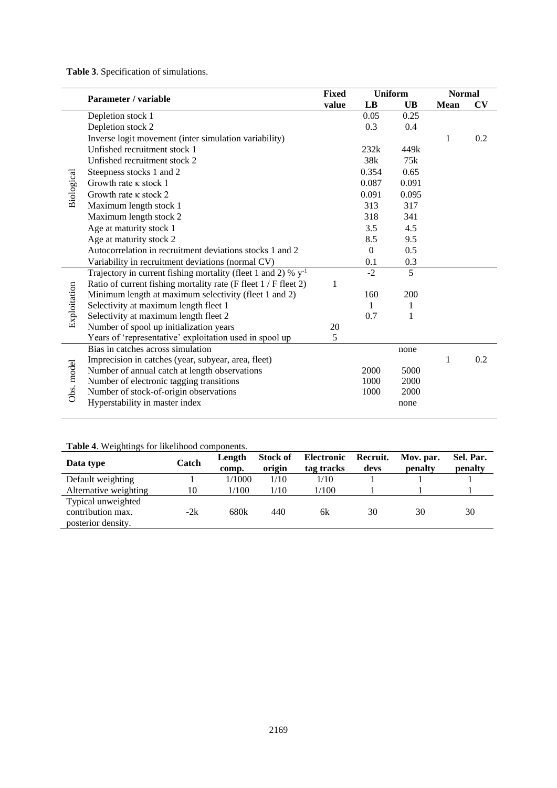**Table 3**. Specification of simulations.

|              | Parameter / variable                                                     |       | <b>Uniform</b>   |           | <b>Normal</b> |           |
|--------------|--------------------------------------------------------------------------|-------|------------------|-----------|---------------|-----------|
|              |                                                                          | value | LB               | <b>UB</b> | <b>Mean</b>   | <b>CV</b> |
|              | Depletion stock 1                                                        |       | 0.05             | 0.25      |               |           |
|              | Depletion stock 2                                                        |       | 0.3              | 0.4       |               |           |
|              | Inverse logit movement (inter simulation variability)                    |       |                  |           | 1             | 0.2       |
|              | Unfished recruitment stock 1                                             |       | 232k             | 449k      |               |           |
|              | Unfished recruitment stock 2                                             |       | 38k              | 75k       |               |           |
|              | Steepness stocks 1 and 2                                                 |       | 0.354            | 0.65      |               |           |
|              | Growth rate $\kappa$ stock 1                                             |       | 0.087            | 0.091     |               |           |
| Biological   | Growth rate $\kappa$ stock 2                                             |       | 0.091            | 0.095     |               |           |
|              | Maximum length stock 1                                                   |       | 313              | 317       |               |           |
|              | Maximum length stock 2                                                   |       | 318              | 341       |               |           |
|              | Age at maturity stock 1                                                  |       | 3.5              | 4.5       |               |           |
|              | Age at maturity stock 2                                                  |       | 8.5              | 9.5       |               |           |
|              | Autocorrelation in recruitment deviations stocks 1 and 2                 |       | $\boldsymbol{0}$ | 0.5       |               |           |
|              | Variability in recruitment deviations (normal CV)                        |       | 0.1              | 0.3       |               |           |
|              | Trajectory in current fishing mortality (fleet 1 and 2) % $y^{-1}$       |       | $-2$             | 5         |               |           |
|              | Ratio of current fishing mortality rate (F fleet 1 / F fleet 2)          | 1     |                  |           |               |           |
|              | Minimum length at maximum selectivity (fleet 1 and 2)                    |       | 160              | 200       |               |           |
|              | Selectivity at maximum length fleet 1                                    |       | 1                | 1         |               |           |
| Exploitation | Selectivity at maximum length fleet 2                                    |       | 0.7              | 1         |               |           |
|              | Number of spool up initialization years                                  | 20    |                  |           |               |           |
|              | Years of 'representative' exploitation used in spool up                  | 5     |                  |           |               |           |
|              | Bias in catches across simulation                                        |       |                  | none      |               |           |
|              | Imprecision in catches (year, subyear, area, fleet)                      |       |                  |           | 1             | 0.2       |
|              | Number of annual catch at length observations                            |       | 2000             | 5000      |               |           |
| Obs. model   | Number of electronic tagging transitions                                 |       | 1000             | 2000      |               |           |
|              | Number of stock-of-origin observations<br>Hyperstability in master index |       | 1000             | 2000      |               |           |
|              |                                                                          |       |                  | none      |               |           |

# **Table 4**. Weightings for likelihood components.

| Data type                                                     | Catch | Length<br>comp. | <b>Stock of</b><br>origin | Electronic<br>tag tracks | Recruit.<br>devs | Mov. par.<br>penalty | Sel. Par.<br>penalty |
|---------------------------------------------------------------|-------|-----------------|---------------------------|--------------------------|------------------|----------------------|----------------------|
| Default weighting                                             |       | 1/1000          | 1/10                      | 1/10                     |                  |                      |                      |
| Alternative weighting                                         | 10    | 1/100           | 1/10                      | 1/100                    |                  |                      |                      |
| Typical unweighted<br>contribution max.<br>posterior density. | $-2k$ | 680k            | 440                       | 6k                       | 30               | 30                   | 30                   |